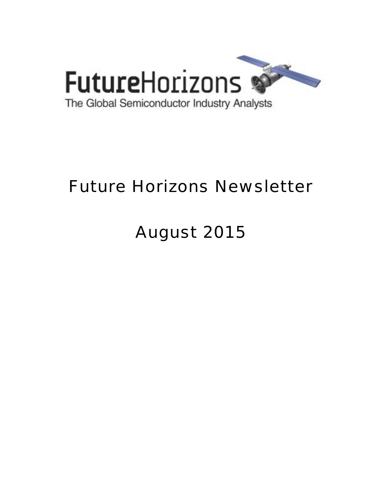

# Future Horizons Newsletter

# August 2015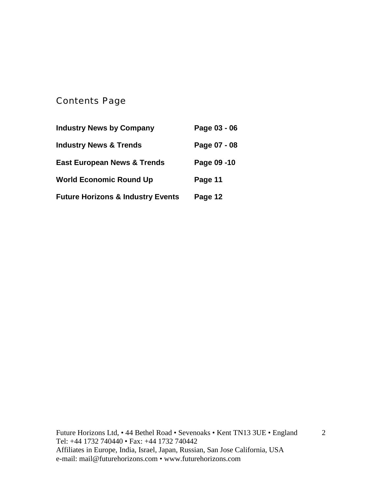## Contents Page

| <b>Industry News by Company</b>              | Page 03 - 06 |
|----------------------------------------------|--------------|
| <b>Industry News &amp; Trends</b>            | Page 07 - 08 |
| <b>East European News &amp; Trends</b>       | Page 09 -10  |
| <b>World Economic Round Up</b>               | Page 11      |
| <b>Future Horizons &amp; Industry Events</b> | Page 12      |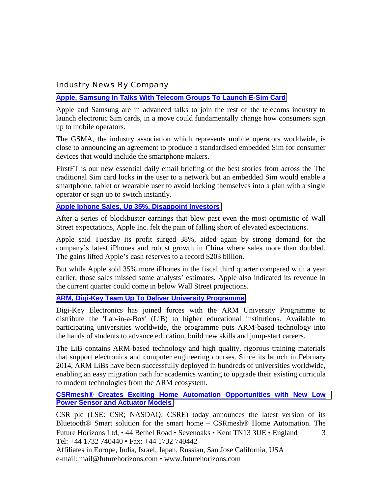#### Industry News By Company

#### **[Apple, Samsung In Talks With Telecom Groups To Launch E-Sim Card](http://www.ft.com/cms/s/0/fc78a3ea-294b-11e5-acfb-cbd2e1c81cca.html?ftcamp=crm/email/2015717/nbe/CompaniesBySector/product#axzz3h5tJYxoT)**

Apple and Samsung are in advanced talks to join the rest of the telecoms industry to launch electronic Sim cards, in a move could fundamentally change how consumers sign up to mobile operators.

The GSMA, the industry association which represents mobile operators worldwide, is close to announcing an agreement to produce a standardised embedded Sim for consumer devices that would include the smartphone makers.

FirstFT is our new essential daily email briefing of the best stories from across the The traditional Sim card locks in the user to a network but an embedded Sim would enable a smartphone, tablet or wearable user to avoid locking themselves into a plan with a single operator or sign up to switch instantly.

#### **[Apple Iphone Sales, Up 35%, Disappoint Investors](http://www.ft.com/cms/s/0/d1507b96-1b24-11e5-8201-cbdb03d71480.html?ftcamp=crm/email/2015722/nbe/USBusiness/product)**

After a series of blockbuster earnings that blew past even the most optimistic of Wall Street expectations, Apple Inc. felt the pain of falling short of elevated expectations.

Apple said Tuesday its profit surged 38%, aided again by strong demand for the company's latest iPhones and robust growth in China where sales more than doubled. The gains lifted Apple's cash reserves to a record \$203 billion.

But while Apple sold 35% more iPhones in the fiscal third quarter compared with a year earlier, those sales missed some analysts' estimates. Apple also indicated its revenue in the current quarter could come in below Wall Street projections.

#### **[ARM, Digi-Key Team Up To Deliver University Programme](http://www.eetindia.co.in/ART_8800714240_1800000_NT_ea1714ac.HTM?click_from=8800124389,9950114561,2015-07-22,EEIOL,ARTICLE_ALERT)**

Digi-Key Electronics has joined forces with the ARM University Programme to distribute the 'Lab-in-a-Box' (LiB) to higher educational institutions. Available to participating universities worldwide, the programme puts ARM-based technology into the hands of students to advance education, build new skills and jump-start careers.

The LiB contains ARM-based technology and high quality, rigorous training materials that support electronics and computer engineering courses. Since its launch in February 2014, ARM LiBs have been successfully deployed in hundreds of universities worldwide, enabling an easy migration path for academics wanting to upgrade their existing curricula to modern technologies from the ARM ecosystem.

#### **[CSRmesh® Creates Exciting Home Automation Opportunities with New Low](http://www.csr.com/news/pr/2015/csrmesh-creates-exciting-home-automation-opportunities-new-low-power-sensor-and)  [Power Sensor and Actuator Models](http://www.csr.com/news/pr/2015/csrmesh-creates-exciting-home-automation-opportunities-new-low-power-sensor-and)**

Future Horizons Ltd, • 44 Bethel Road • Sevenoaks • Kent TN13 3UE • England Tel: +44 1732 740440 • Fax: +44 1732 740442 3 CSR plc (LSE: CSR; NASDAQ: CSRE) today announces the latest version of its Bluetooth® Smart solution for the smart home – CSRmesh® Home Automation. The

Affiliates in Europe, India, Israel, Japan, Russian, San Jose California, USA e-mail: mail@futurehorizons.com • www.futurehorizons.com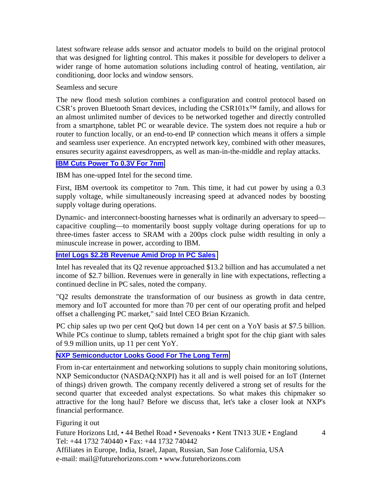latest software release adds sensor and actuator models to build on the original protocol that was designed for lighting control. This makes it possible for developers to deliver a wider range of home automation solutions including control of heating, ventilation, air conditioning, door locks and window sensors.

Seamless and secure

The new flood mesh solution combines a configuration and control protocol based on CSR's proven Bluetooth Smart devices, including the CSR101x™ family, and allows for an almost unlimited number of devices to be networked together and directly controlled from a smartphone, tablet PC or wearable device. The system does not require a hub or router to function locally, or an end-to-end IP connection which means it offers a simple and seamless user experience. An encrypted network key, combined with other measures, ensures security against eavesdroppers, as well as man-in-the-middle and replay attacks.

#### **[IBM Cuts Power To 0.3V For 7nm](http://www.eetindia.co.in/ART_8800714192_1800007_NT_aa62fccf.HTM)**

IBM has one-upped Intel for the second time.

First, IBM overtook its competitor to 7nm. This time, it had cut power by using a 0.3 supply voltage, while simultaneously increasing speed at advanced nodes by boosting supply voltage during operations.

Dynamic- and interconnect-boosting harnesses what is ordinarily an adversary to speed capacitive coupling—to momentarily boost supply voltage during operations for up to three-times faster access to SRAM with a 200ps clock pulse width resulting in only a minuscule increase in power, according to IBM.

#### **[Intel Logs \\$2.2B Revenue Amid Drop In PC Sales](http://www.eetindia.co.in/ART_8800714150_1800012_NT_de1df64e.HTM)**

Intel has revealed that its Q2 revenue approached \$13.2 billion and has accumulated a net income of \$2.7 billion. Revenues were in generally in line with expectations, reflecting a continued decline in PC sales, noted the company.

"Q2 results demonstrate the transformation of our business as growth in data centre, memory and IoT accounted for more than 70 per cent of our operating profit and helped offset a challenging PC market," said Intel CEO Brian Krzanich.

PC chip sales up two per cent QoQ but down 14 per cent on a YoY basis at \$7.5 billion. While PCs continue to slump, tablets remained a bright spot for the chip giant with sales of 9.9 million units, up 11 per cent YoY.

#### **[NXP Semiconductor Looks Good For The Long Term](http://seekingalpha.com/article/3391965-nxp-semiconductor-looks-good-for-the-long-term)**

From in-car entertainment and networking solutions to supply chain monitoring solutions, NXP Semiconductor (NASDAQ:NXPI) has it all and is well poised for an IoT (Internet of things) driven growth. The company recently delivered a strong set of results for the second quarter that exceeded analyst expectations. So what makes this chipmaker so attractive for the long haul? Before we discuss that, let's take a closer look at NXP's financial performance.

#### Figuring it out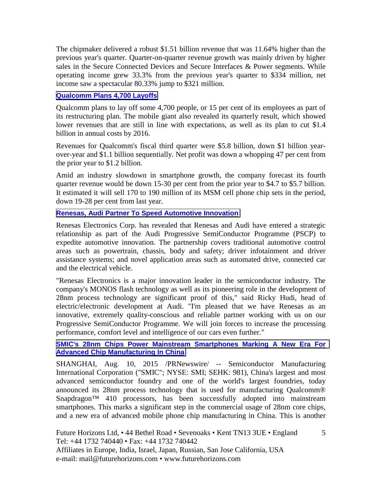The chipmaker delivered a robust \$1.51 billion revenue that was 11.64% higher than the previous year's quarter. Quarter-on-quarter revenue growth was mainly driven by higher sales in the Secure Connected Devices and Secure Interfaces & Power segments. While operating income grew 33.3% from the previous year's quarter to \$334 million, net income saw a spectacular 80.33% jump to \$321 million.

#### **[Qualcomm Plans 4,700 Layoffs](http://www.eetindia.co.in/ART_8800714303_1800007_NT_cd9ab17f.HTM)**

Qualcomm plans to lay off some 4,700 people, or 15 per cent of its employees as part of its restructuring plan. The mobile giant also revealed its quarterly result, which showed lower revenues that are still in line with expectations, as well as its plan to cut \$1.4 billion in annual costs by 2016.

Revenues for Qualcomm's fiscal third quarter were \$5.8 billion, down \$1 billion yearover-year and \$1.1 billion sequentially. Net profit was down a whopping 47 per cent from the prior year to \$1.2 billion.

Amid an industry slowdown in smartphone growth, the company forecast its fourth quarter revenue would be down 15-30 per cent from the prior year to \$4.7 to \$5.7 billion. It estimated it will sell 170 to 190 million of its MSM cell phone chip sets in the period, down 19-28 per cent from last year.

#### **[Renesas, Audi Partner To Speed Automotive Innovation](http://www.eetindia.co.in/ART_8800714072_1800001_NT_2b372325.HTM)**

Renesas Electronics Corp. has revealed that Renesas and Audi have entered a strategic relationship as part of the Audi Progressive SemiConductor Programme (PSCP) to expedite automotive innovation. The partnership covers traditional automotive control areas such as powertrain, chassis, body and safety; driver infotainment and driver assistance systems; and novel application areas such as automated drive, connected car and the electrical vehicle.

"Renesas Electronics is a major innovation leader in the semiconductor industry. The company's MONOS flash technology as well as its pioneering role in the development of 28nm process technology are significant proof of this," said Ricky Hudi, head of electric/electronic development at Audi. "I'm pleased that we have Renesas as an innovative, extremely quality-conscious and reliable partner working with us on our Progressive SemiConductor Programme. We will join forces to increase the processing performance, comfort level and intelligence of our cars even further."

#### **[SMIC's 28nm Chips Power Mainstream Smartphones Marking A New Era For](http://www.prnewswire.com/news-releases/smics-28nm-chips-power-mainstream-smartphones-marking-a-new-era-for-advanced-chip-manufacturing-in-china-300125831.html)  [Advanced Chip Manufacturing In China](http://www.prnewswire.com/news-releases/smics-28nm-chips-power-mainstream-smartphones-marking-a-new-era-for-advanced-chip-manufacturing-in-china-300125831.html)**

SHANGHAI, Aug. 10, 2015 /PRNewswire/ -- Semiconductor Manufacturing International Corporation ("SMIC"; NYSE: SMI; SEHK: 981), China's largest and most advanced semiconductor foundry and one of the world's largest foundries, today announced its 28nm process technology that is used for manufacturing Qualcomm® Snapdragon<sup>TM</sup> 410 processors, has been successfully adopted into mainstream smartphones. This marks a significant step in the commercial usage of 28nm core chips, and a new era of advanced mobile phone chip manufacturing in China. This is another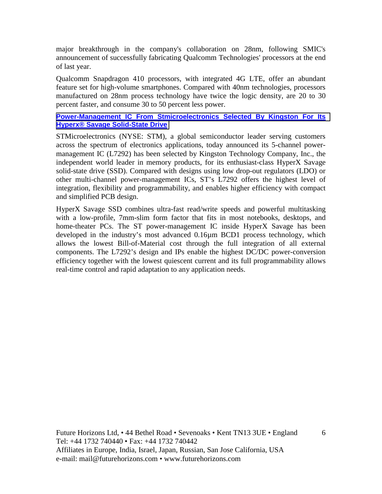major breakthrough in the company's collaboration on 28nm, following SMIC's announcement of successfully fabricating Qualcomm Technologies' processors at the end of last year.

Qualcomm Snapdragon 410 processors, with integrated 4G LTE, offer an abundant feature set for high-volume smartphones. Compared with 40nm technologies, processors manufactured on 28nm process technology have twice the logic density, are 20 to 30 percent faster, and consume 30 to 50 percent less power.

#### **[Power-Management IC From Stmicroelectronics Selected By Kingston For Its](http://www.st.com/web/en/press/t3706)  [Hyperx® Savage Solid-State Drive](http://www.st.com/web/en/press/t3706)**

STMicroelectronics (NYSE: STM), a global semiconductor leader serving customers across the spectrum of electronics applications, today announced its 5-channel powermanagement IC (L7292) has been selected by Kingston Technology Company, Inc., the independent world leader in memory products, for its enthusiast-class HyperX Savage solid-state drive (SSD). Compared with designs using low drop-out regulators (LDO) or other multi-channel power-management ICs, ST's L7292 offers the highest level of integration, flexibility and programmability, and enables higher efficiency with compact and simplified PCB design.

HyperX Savage SSD combines ultra-fast read/write speeds and powerful multitasking with a low-profile, 7mm-slim form factor that fits in most notebooks, desktops, and home-theater PCs. The ST power-management IC inside HyperX Savage has been developed in the industry's most advanced 0.16µm BCD1 process technology, which allows the lowest Bill-of-Material cost through the full integration of all external components. The L7292's design and IPs enable the highest DC/DC power-conversion efficiency together with the lowest quiescent current and its full programmability allows real-time control and rapid adaptation to any application needs.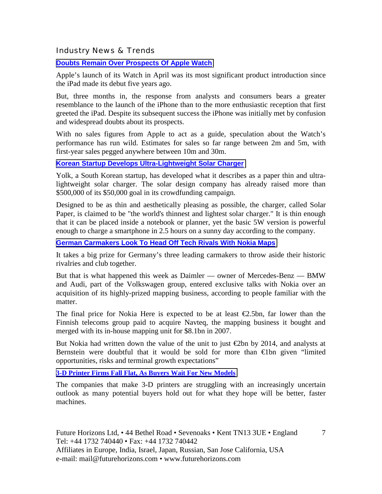Industry News & Trends

**[Doubts Remain Over Prospects Of Apple Watch](http://www.ft.com/cms/s/0/f328df7c-2e04-11e5-8873-775ba7c2ea3d.html?ftcamp=crm/email/2015719/nbe/AsiaMorningHeadlines/product#axzz3gPfEXWF7)**

Apple's launch of its Watch in April was its most significant product introduction since the iPad made its debut five years ago.

But, three months in, the response from analysts and consumers bears a greater resemblance to the launch of the iPhone than to the more enthusiastic reception that first greeted the iPad. Despite its subsequent success the iPhone was initially met by confusion and widespread doubts about its prospects.

With no sales figures from Apple to act as a guide, speculation about the Watch's performance has run wild. Estimates for sales so far range between 2m and 5m, with first-year sales pegged anywhere between 10m and 30m.

**[Korean Startup Develops Ultra-Lightweight Solar Charger](http://www.eetindia.co.in/ART_8800714270_1800008_NT_195291c9.HTM)**

Yolk, a South Korean startup, has developed what it describes as a paper thin and ultralightweight solar charger. The solar design company has already raised more than \$500,000 of its \$50,000 goal in its crowdfunding campaign.

Designed to be as thin and aesthetically pleasing as possible, the charger, called Solar Paper, is claimed to be "the world's thinnest and lightest solar charger." It is thin enough that it can be placed inside a notebook or planner, yet the basic 5W version is powerful enough to charge a smartphone in 2.5 hours on a sunny day according to the company.

**[German Carmakers Look To Head Off Tech Rivals With Nokia Maps](http://www.ft.com/cms/s/0/cfeeaa6e-19c8-11e5-a130-2e7db721f996.html?ftcamp=crm/email/2015723/nbe/CompaniesBySector/product#axzz3hqFSDPzE)**

It takes a big prize for Germany's three leading carmakers to throw aside their historic rivalries and club together.

But that is what happened this week as Daimler — owner of Mercedes-Benz — BMW and Audi, part of the Volkswagen group, entered exclusive talks with Nokia over an acquisition of its highly-prized mapping business, according to people familiar with the matter.

The final price for Nokia Here is expected to be at least  $\epsilon$ 2.5bn, far lower than the Finnish telecoms group paid to acquire Navteq, the mapping business it bought and merged with its in-house mapping unit for \$8.1bn in 2007.

But Nokia had written down the value of the unit to just  $\infty$  by 2014, and analysts at Bernstein were doubtful that it would be sold for more than €1bn given "limited opportunities, risks and terminal growth expectations"

**[3-D Printer Firms Fall Flat, As Buyers Wait For New Models](http://www.wsj.com/articles/3-d-printer-firms-fall-flat-as-buyers-wait-for-new-models-1438905355?tesla=y)**

The companies that make 3-D printers are struggling with an increasingly uncertain outlook as many potential buyers hold out for what they hope will be better, faster machines.

7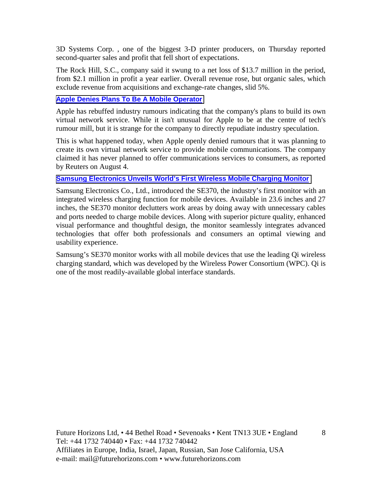3D Systems Corp. , one of the biggest 3-D printer producers, on Thursday reported second-quarter sales and profit that fell short of expectations.

The Rock Hill, S.C., company said it swung to a net loss of \$13.7 million in the period, from \$2.1 million in profit a year earlier. Overall revenue rose, but organic sales, which exclude revenue from acquisitions and exchange-rate changes, slid 5%.

#### **[Apple Denies Plans To Be A Mobile Operator](http://www.eetindia.co.in/ART_8800714652_1800005_NT_cd70936b.HTM)**

Apple has rebuffed industry rumours indicating that the company's plans to build its own virtual network service. While it isn't unusual for Apple to be at the centre of tech's rumour mill, but it is strange for the company to directly repudiate industry speculation.

This is what happened today, when Apple openly denied rumours that it was planning to create its own virtual network service to provide mobile communications. The company claimed it has never planned to offer communications services to consumers, as reported by Reuters on August 4.

#### **[Samsung Electronics Unveils World's First Wireless Mobile Charging Monitor](http://www.albawaba.com/business/pr/samsung-electronics-unveils-world%E2%80%99s-first-wireless-mobile-charging-monitor-728904)**

Samsung Electronics Co., Ltd., introduced the SE370, the industry's first monitor with an integrated wireless charging function for mobile devices. Available in 23.6 inches and 27 inches, the SE370 monitor declutters work areas by doing away with unnecessary cables and ports needed to charge mobile devices. Along with superior picture quality, enhanced visual performance and thoughtful design, the monitor seamlessly integrates advanced technologies that offer both professionals and consumers an optimal viewing and usability experience.

Samsung's SE370 monitor works with all mobile devices that use the leading Qi wireless charging standard, which was developed by the Wireless Power Consortium (WPC). Qi is one of the most readily-available global interface standards.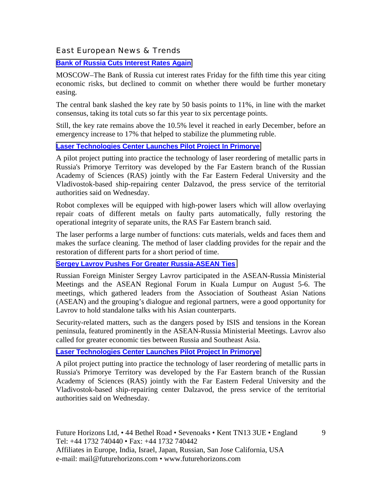#### East European News & Trends

#### **[Bank of Russia Cuts Interest Rates Again](http://blogs.wsj.com/economics/2015/07/31/bank-of-russia-cuts-interest-rates-again/?mod=djemRTE_h)**

MOSCOW–The Bank of Russia cut interest rates Friday for the fifth time this year citing economic risks, but declined to commit on whether there would be further monetary easing.

The central bank slashed the key rate by 50 basis points to 11%, in line with the market consensus, taking its total cuts so far this year to six percentage points.

Still, the key rate remains above the 10.5% level it reached in early December, before an emergency increase to 17% that helped to stabilize the plummeting ruble.

#### **[Laser Technologies Center Launches Pilot Project In Primorye](http://rbth.com/news/2015/07/22/laser_technologies_center_launches_pilot_project_in_primorye_47941.html)**

A pilot project putting into practice the technology of laser reordering of metallic parts in Russia's Primorye Territory was developed by the Far Eastern branch of the Russian Academy of Sciences (RAS) jointly with the Far Eastern Federal University and the Vladivostok-based ship-repairing center Dalzavod, the press service of the territorial authorities said on Wednesday.

Robot complexes will be equipped with high-power lasers which will allow overlaying repair coats of different metals on faulty parts automatically, fully restoring the operational integrity of separate units, the RAS Far Eastern branch said.

The laser performs a large number of functions: cuts materials, welds and faces them and makes the surface cleaning. The method of laser cladding provides for the repair and the restoration of different parts for a short period of time.

#### **[Sergey Lavrov Pushes For Greater Russia-ASEAN Ties](http://rbth.com/international/2015/08/10/sergey_lavrov_pushes_for_greater_russia-asean_ties_48365.html)**

Russian Foreign Minister Sergey Lavrov participated in the ASEAN-Russia Ministerial Meetings and the ASEAN Regional Forum in Kuala Lumpur on August 5-6. The meetings, which gathered leaders from the Association of Southeast Asian Nations (ASEAN) and the grouping's dialogue and regional partners, were a good opportunity for Lavrov to hold standalone talks with his Asian counterparts.

Security-related matters, such as the dangers posed by ISIS and tensions in the Korean peninsula, featured prominently in the ASEAN-Russia Ministerial Meetings. Lavrov also called for greater economic ties between Russia and Southeast Asia.

#### **[Laser Technologies Center Launches Pilot Project In Primorye](http://rbth.com/news/2015/07/22/laser_technologies_center_launches_pilot_project_in_primorye_47941.html)**

A pilot project putting into practice the technology of laser reordering of metallic parts in Russia's Primorye Territory was developed by the Far Eastern branch of the Russian Academy of Sciences (RAS) jointly with the Far Eastern Federal University and the Vladivostok-based ship-repairing center Dalzavod, the press service of the territorial authorities said on Wednesday.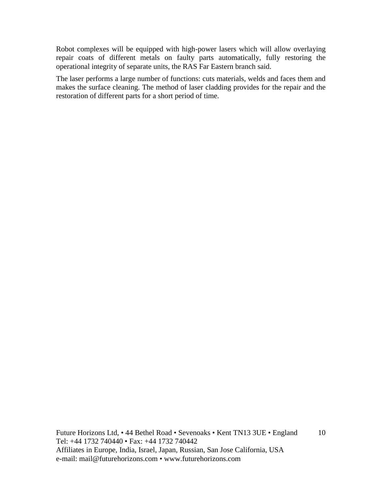Robot complexes will be equipped with high-power lasers which will allow overlaying repair coats of different metals on faulty parts automatically, fully restoring the operational integrity of separate units, the RAS Far Eastern branch said.

The laser performs a large number of functions: cuts materials, welds and faces them and makes the surface cleaning. The method of laser cladding provides for the repair and the restoration of different parts for a short period of time.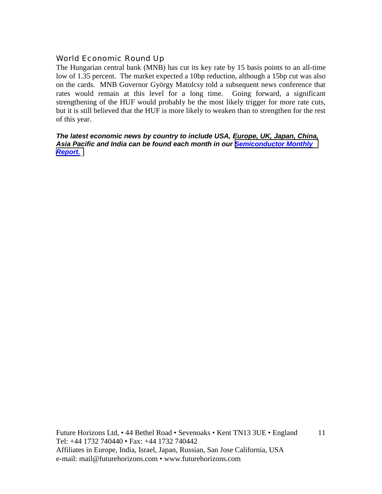#### World Economic Round Up

The Hungarian central bank (MNB) has cut its key rate by 15 basis points to an all-time low of 1.35 percent. The market expected a 10bp reduction, although a 15bp cut was also on the cards. MNB Governor György Matolcsy told a subsequent news conference that rates would remain at this level for a long time. Going forward, a significant strengthening of the HUF would probably be the most likely trigger for more rate cuts, but it is still believed that the HUF is more likely to weaken than to strengthen for the rest of this year.

*The latest economic news by country to include USA, Europe, UK, Japan, China, Asia Pacific and India can be found each month in our [Semiconductor Monthly](http://www.futurehorizons.com/page/18/Global-Semiconductor-Report)  [Report.](http://www.futurehorizons.com/page/18/Global-Semiconductor-Report)*